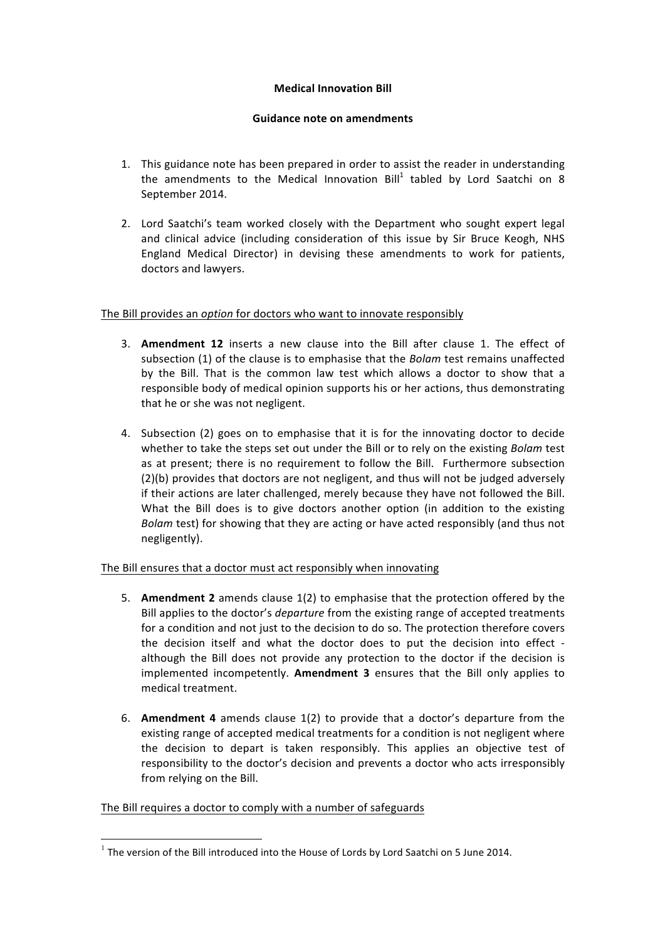### **Medical Innovation Bill**

### **Guidance note on amendments**

- 1. This guidance note has been prepared in order to assist the reader in understanding the amendments to the Medical Innovation Bill<sup>1</sup> tabled by Lord Saatchi on 8 September 2014.
- 2. Lord Saatchi's team worked closely with the Department who sought expert legal and clinical advice (including consideration of this issue by Sir Bruce Keogh, NHS England Medical Director) in devising these amendments to work for patients, doctors and lawyers.

# The Bill provides an *option* for doctors who want to innovate responsibly

- 3. Amendment 12 inserts a new clause into the Bill after clause 1. The effect of subsection (1) of the clause is to emphasise that the *Bolam* test remains unaffected by the Bill. That is the common law test which allows a doctor to show that a responsible body of medical opinion supports his or her actions, thus demonstrating that he or she was not negligent.
- 4. Subsection (2) goes on to emphasise that it is for the innovating doctor to decide whether to take the steps set out under the Bill or to rely on the existing *Bolam* test as at present; there is no requirement to follow the Bill. Furthermore subsection  $(2)(b)$  provides that doctors are not negligent, and thus will not be judged adversely if their actions are later challenged, merely because they have not followed the Bill. What the Bill does is to give doctors another option (in addition to the existing *Bolam* test) for showing that they are acting or have acted responsibly (and thus not negligently).

# The Bill ensures that a doctor must act responsibly when innovating

- 5. **Amendment 2** amends clause 1(2) to emphasise that the protection offered by the Bill applies to the doctor's *departure* from the existing range of accepted treatments for a condition and not just to the decision to do so. The protection therefore covers the decision itself and what the doctor does to put the decision into effect although the Bill does not provide any protection to the doctor if the decision is implemented incompetently. **Amendment 3** ensures that the Bill only applies to medical treatment.
- 6. **Amendment 4** amends clause 1(2) to provide that a doctor's departure from the existing range of accepted medical treatments for a condition is not negligent where the decision to depart is taken responsibly. This applies an objective test of responsibility to the doctor's decision and prevents a doctor who acts irresponsibly from relying on the Bill.

# The Bill requires a doctor to comply with a number of safeguards

 $1$  The version of the Bill introduced into the House of Lords by Lord Saatchi on 5 June 2014.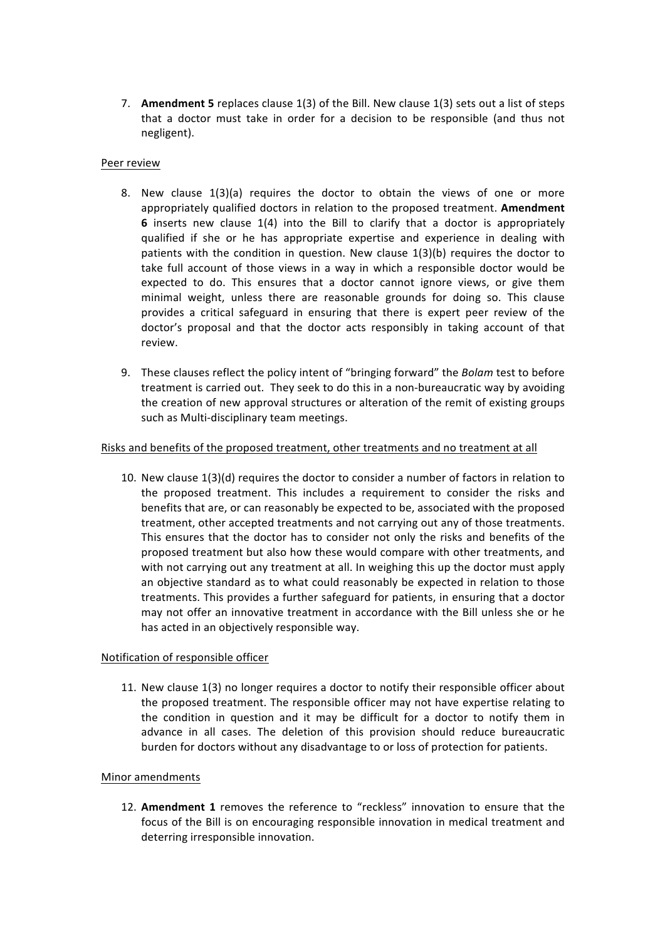7. **Amendment 5** replaces clause 1(3) of the Bill. New clause 1(3) sets out a list of steps that a doctor must take in order for a decision to be responsible (and thus not negligent). 

### Peer review

- 8. New clause  $1(3)(a)$  requires the doctor to obtain the views of one or more appropriately qualified doctors in relation to the proposed treatment. **Amendment 6** inserts new clause 1(4) into the Bill to clarify that a doctor is appropriately qualified if she or he has appropriate expertise and experience in dealing with patients with the condition in question. New clause  $1(3)(b)$  requires the doctor to take full account of those views in a way in which a responsible doctor would be expected to do. This ensures that a doctor cannot ignore views, or give them minimal weight, unless there are reasonable grounds for doing so. This clause provides a critical safeguard in ensuring that there is expert peer review of the doctor's proposal and that the doctor acts responsibly in taking account of that review.
- 9. These clauses reflect the policy intent of "bringing forward" the *Bolam* test to before treatment is carried out. They seek to do this in a non-bureaucratic way by avoiding the creation of new approval structures or alteration of the remit of existing groups such as Multi-disciplinary team meetings.

### Risks and benefits of the proposed treatment, other treatments and no treatment at all

10. New clause  $1(3)(d)$  requires the doctor to consider a number of factors in relation to the proposed treatment. This includes a requirement to consider the risks and benefits that are, or can reasonably be expected to be, associated with the proposed treatment, other accepted treatments and not carrying out any of those treatments. This ensures that the doctor has to consider not only the risks and benefits of the proposed treatment but also how these would compare with other treatments, and with not carrying out any treatment at all. In weighing this up the doctor must apply an objective standard as to what could reasonably be expected in relation to those treatments. This provides a further safeguard for patients, in ensuring that a doctor may not offer an innovative treatment in accordance with the Bill unless she or he has acted in an objectively responsible way.

#### Notification of responsible officer

11. New clause 1(3) no longer requires a doctor to notify their responsible officer about the proposed treatment. The responsible officer may not have expertise relating to the condition in question and it may be difficult for a doctor to notify them in advance in all cases. The deletion of this provision should reduce bureaucratic burden for doctors without any disadvantage to or loss of protection for patients.

#### Minor amendments

12. Amendment 1 removes the reference to "reckless" innovation to ensure that the focus of the Bill is on encouraging responsible innovation in medical treatment and deterring irresponsible innovation.